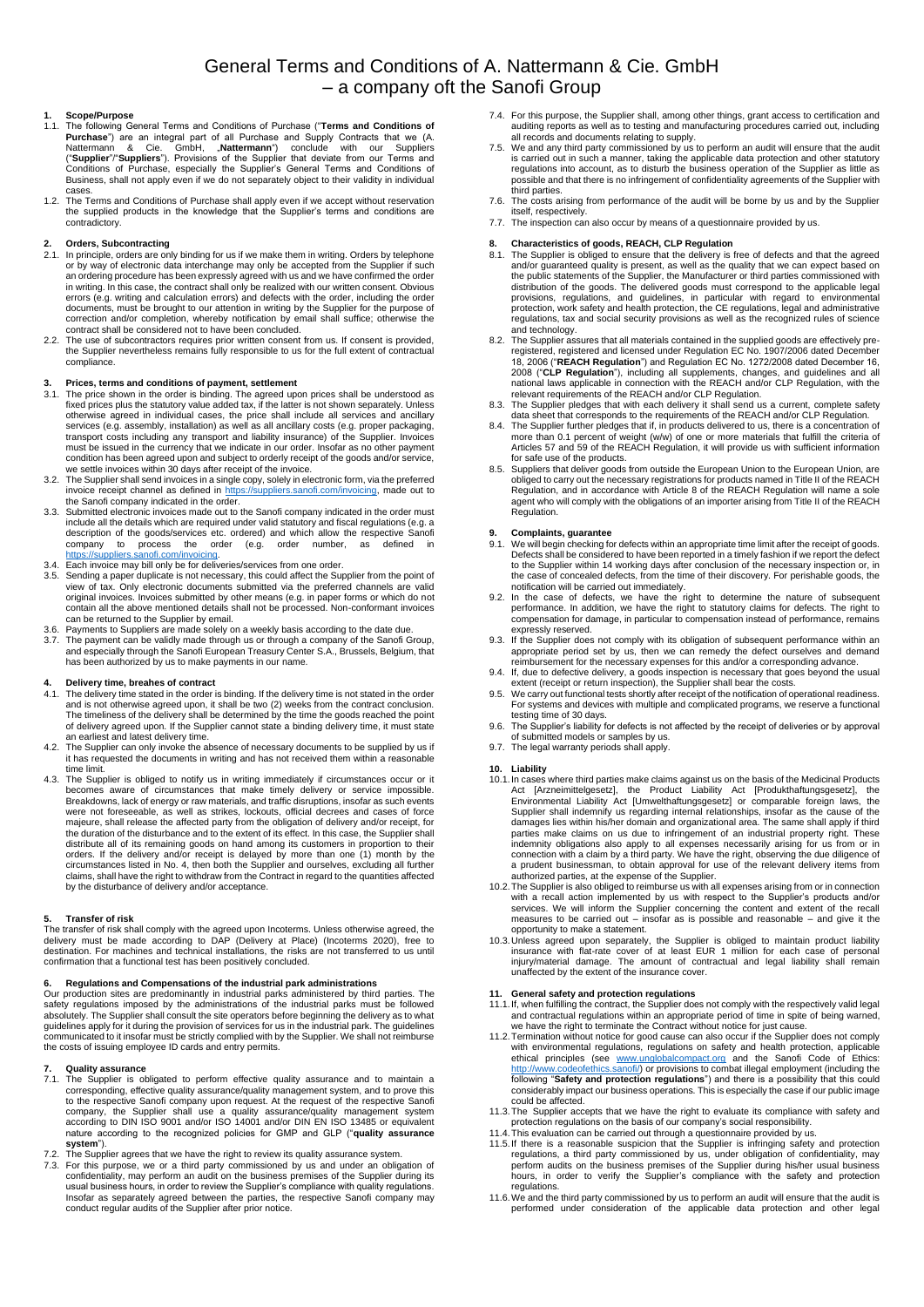# General Terms and Conditions of A. Nattermann & Cie. GmbH – a company oft the Sanofi Group

# **1. Scope/Purpose**

- 1.1. The following General Terms and Conditions of Purchase ("**Terms and Conditions of Purchase**") are an integral part of all Purchase and Supply Contracts that we (A.<br>Nattermann & Cie. GmbH, "N**attermann**") conclude with our Suppliers<br>("Supplier"/"Suppliers"). Provisions of the Supplier that deviate from Business, shall not apply even if we do not separately object to their validity in individual
- cases. 1.2. The Terms and Conditions of Purchase shall apply even if we accept without reservation the supplied products in the knowledge that the Supplier's terms and conditions are contradictory.

### **2. Orders, Subcontracting**

- 2.1. In principle, orders are only binding for us if we make them in writing. Orders by telephone.<br>The proposition of electronic data interchange may only be accepted from the Supplier if such<br>an ordering procedure has bee in writing. In this case, the contract shall only be realized with our written consent. Obvious errors (e.g. writing and calculation errors) and defects with the order, including the order<br>documents, must be brought to our attention in writing by the Supplier for the purpose of<br>correction and/or completion, whereby n
- contract shall be considered not to have been concluded. 2.2. The use of subcontractors requires prior written consent from us. If consent is provided, the Supplier nevertheless remains fully responsible to us for the full extent of contractual compliance.

# **3. Prices, terms and conditions of payment, settlement** 3.1 The price shown in the order is binding. The agreed up

- 3.1. The price shown in the order is binding. The agreed upon prices shall be understood as fixed prices plus the statutory value added tax, if the latter is not shown separately. Unless otherwise agreed in individual cases, the price shall include all services and ancillary<br>services (e.g. assembly, installation) as well as all ancillary costs (e.g. proper packaging,<br>transport costs including any transport must be issued in the currency that we indicate in our order. Insofar as no other payment condition has been agreed upon and subject to orderly receipt of the goods and/or service,
- we settle invoices within 30 days after receipt of the invoice. 3.2. The Supplier shall send invoices in a single copy, solely in electronic form, via the preferred invoice receipt channel as defined in [https://suppliers.sanofi.com/invoicing,](https://suppliers.sanofi.com/invoicing) made out to the Sanofi company indicated in the order.
- 3.3. Submitted electronic invoices made out to the Sanofi company indicated in the order must include all the details which are required under valid statutory and fiscal regulations (e.g. a description of the goods/services etc. ordered) and which allow the respective Sanofi<br>company to process the order (e.g. order number, as defined in<br>[https://suppliers.sanofi.com/invoicing.](https://suppliers.sanofi.com/invoicing)
- Each invoice may bill only be for deliveries/services from one order.
- 3.5. Sending a paper duplicate is not necessary, this could affect the Supplier from the point of view of tax. Only electronic documents submitted via the preferred channels are valid original invoices. Invoices submitted by other means (e.g. in paper forms or which do not contain all the above mentioned details shall not be processed. Non-conformant invoices can be returned to the Supplier by email.
- 3.6. Payments to Suppliers are made solely on a weekly basis according to the date due.<br>3.7. The payment can be validly made through us or through a company of the Sanofi Group,<br>and especially through the Sanofi European T has been authorized by us to make payments in our name.

- 4. Delivery time, breahes of contract<br>
4.1. The delivery time is not stated in the order<br>
4.1. The delivery time is the order is binding. If the delivery time is not stated in the order<br>
and is not otherwise agreed upon, i
- 4.2. The Supplier can only invoke the absence of necessary documents to be supplied by us if it has requested the documents in writing and has not received them within a reasonable time limit.
- 4.3. The Supplier is obliged to notify us in writing immediately if circumstances occur or it becomes aware of circumstances that make timely delivery or service impossible.<br>Breakdowns, lackofenergyor raw materials, and traffic disruptions, insofar as such events<br>were not foreseeable, as well as strikes, lockouts, majeure, shall release the affected party from the obligation of delivery and/or receipt, for the duration of the disturbance and to the extent of its effect. In this case, the Supplier shall distribute all of its remaining goods on hand among its customers in proportion to their<br>orders. If the delivery and/or receipt is delayed by more than one (1) month by the<br>cicrumstances listed in No. 4, then both the Supp by the disturbance of delivery and/or acceptance.

# **5. Transfer of risk**

The transfer of risk shall comply with the agreed upon Incoterms. Unless otherwise agreed, the<br>delivery must be made according to DAP (Delivery at Place) (Incoterms 2020), free to<br>destination. For machines an confirmation that a functional test has been positively concluded.

6. Regulations and Compensations of the industrial park administrations<br>Our production sites are predominantly in industrial parks administered by third parties. The<br>safety regulations imposed by the administrations of the guidelines apply for it during the provision of services for us in the industrial park. The guidelines communicated to it insofar must be strictly complied with by the Supplier. We shall not reimburse the costs of issuing employee ID cards and entry permits.

### **7. Quality assurance**

- 7.1. The Supplier is obligated to perform effective quality assurance and to maintain a corresponding, effective quality assurance/quality management system, and to prove this<br>to the respective Sanofi company upon request. At the request of the respective Sanofi<br>company, the Supplier shall use a quality assur nature according to the recognized policies for GMP and GLP ("**quality assurance system**"). 7.2. The Supplier agrees that we have the right to review its quality assurance system.
- 7.3. For this purpose, we or a third party commissioned by us and under an obligation of confidentiality, may perform an audit on the business premises of the Supplier during its usual business hours, in order to review th Insofar as separately agreed between the parties, the respective Sanofi company may conduct regular audits of the Supplier after prior notice.
- 7.4. For this purpose, the Supplier shall, among other things, grant access to certification and auditing reports as well as to testing and manufacturing procedures carried out, including
- all records and documents relating to supply. 7.5. We and any third party commissioned by us to perform an audit will ensure that the audit is carried out in such a manner, taking the applicable data protection and other statutory<br>regulations into account, as to disturb the business operation of the Supplier as little as<br>possible and that there is no infringem third parties.
- 7.6. The costs arising from performance of the audit will be borne by us and by the Supplier itself, respectively. 7.7. The inspection can also occur by means of a questionnaire provided by us.
- 

## **8. Characteristics of goods, REACH, CLP Regulation**

- 8.1. The Supplier is obliged to ensure that the delivery is free of defects and that the agreed and/or guaranteed quality is present, as well as the quality that we can expect based on the public statements of the Supplier, the Manufacturer or third parties commissioned with distribution of the goods. The delivered goods must correspond to the applicable legal provisions, regulations, and guidelines, in particular with regard to environmental protection, work safety and health protection, the CE regulations, legal and administrative regulations, tax and social security provisions as well as the recognized rules of science
- and technology. 8.2. The Supplier assures that all materials contained in the supplied goods are effectively preregistered, registered and licensed under Regulation EC No. 1907/2006 dated December 18, 2006 ("**REACH Regulation**") and Regulation EC No. 1272/2008 dated December 16, 2008 ("**CLP Regulation**"), including all supplements, changes, and guidelines and all<br>national laws applicable in connection with the REACH and/or CLP Regulation, with the<br>relevant requirements of the REACH and/or CLP Regu
- 
- 8.3. The Supplier pledges that with each delivery it shall send us a current, complete safety data sheet that corresponds to the requirements of the REACH and/or CLP Regulation.<br>8.4. The Supplier further pledges that if, i for safe use of the products.
- 8.5. Suppliers that deliver goods from outside the European Union to the European Union, are<br>obliged to carry out the necessary registrations for products named in Title II of the REACH<br>Regulation, and in accordance with A agent who will comply with the obligations of an importer arising from Title II of the REACH Regulation.

### **9. Complaints, guarantee**

- 9.1. We will begin checking for defects within an appropriate time limit after the receipt of goods. Defects shall be considered to have been reported in a timely fashion if we report the defect to the Supplier within 14 working days after conclusion of the necessary inspection or, in the case of concealed defects, from the time of their discovery. For perishable goods, the
- notification will be carried out immediately. 9.2. In the case of defects, we have the right to determine the nature of subsequent performance. In addition, we have the right to statutory claims for defects. The right to compensation for damage, in particular to compensation instead of performance, remains expressly reserved.
- 9.3. If the Supplier does not comply with its obligation of subsequent performance within an appropriate period set by us, then we can remedy the defect ourselves and demand reimbursement for the necessary expenses for this and/or a corresponding advance.
- 9.4. If, due to defective delivery, a goods inspection is necessary that goes beyond the usual<br>extent (receipt or return inspection), the Supplier shall bear the costs.<br>9.5. We carry out functional tests shortly after rece
- For systems and devices with multiple and complicated programs, we reserve a functional testing time of 30 days.
- 9.6. The Supplier's liability for defects is not affected by the receipt of deliveries or by approval of submitted models or samples by us.
- 9.7. The legal warranty periods shall apply.

## **10. Liability**

- 10.1. In cases where third parties make claims against us on the basis of the Medicinal Products<br>Act [Arzneimittelgesetz], the Product Liability Act [Produkthaftungsgesetz], the<br>Environmental Liability Act [Umwelthaftungsg damages lies within his/her domain and organizational area. The same shall apply if third<br>parties make claims on us due to infringement of an industrial property right. These<br>indemnity obligations also apply to all expense
- 10.2. The Supplier is also obliged to reimburse us with all expenses arising from or in connection with a recall action implemented by us with respect to the Supplier's products and/or services. We will inform the Supplier opportunity to make a statement.
- 10.3. Unless agreed upon separately, the Supplier is obliged to maintain product liability insurance with flat-rate cover of at least EUR 1 million for each case of personal injury/material damage. The amount of contractua

### **11. General safety and protection regulations**

- 11.1.If, when fulfilling the contract, the Supplier does not comply with the respectively valid legal and contractual regulations within an appropriate period of time in spite of being warned, we have the right to terminate the Contract without notice for just cause.
- 11.2.Termination without notice for good cause can also occur if the Supplier does not comply with environmental regulations, regulations on safety and health protection, applicable<br>ethical principles (see [www.unglobalcompact.org](http://www.unglobalcompact.org/) and the Sanofi Code of Ethics:<br>[http://www.codeofethics.sanofi/\)](http://www.codeofethics.sanofi/) or provisions to comba considerably impact our business operations. This is especially the case if our public image could be affected.
- 11.3.The Supplier accepts that we have the right to evaluate its compliance with safety and protection regulations on the basis of our company's social responsibility. 11.4.This evaluation can be carried out through a questionnaire provided by us.
- 
- 11.5. If there is a reasonable suspicion that the Supplier is infringing safety and protection regulations, a third party commissioned by us, under obligation of confidentiality, may perform andits on the business premises regulations.
- 11.6.We and the third party commissioned by us to perform an audit will ensure that the audit is performed under consideration of the applicable data protection and other legal